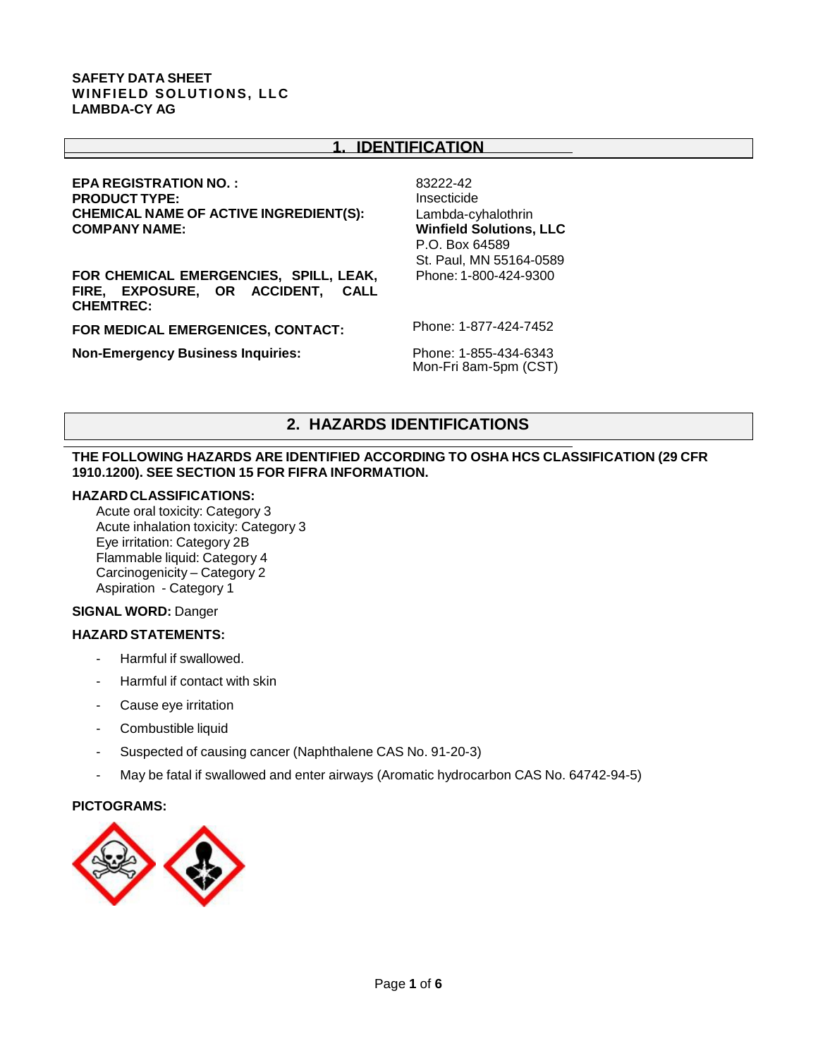## **1. IDENTIFICATION**

# **EPA REGISTRATION NO. : PRODUCT TYPE: CHEMICAL NAME OF ACTIVE INGREDIENT(S):** Lambda-cyhalothrin

**FOR CHEMICAL EMERGENCIES, SPILL, LEAK, FIRE, EXPOSURE, OR ACCIDENT, CALL CHEMTREC:**

**FOR MEDICAL EMERGENICES, CONTACT:**

**Non-Emergency Business Inquiries:**

83222-42 Insecticide **Winfield Solutions, LLC** P.O. Box 64589 St. Paul, MN 55164-0589 Phone: 1-800-424-9300

Phone: 1-877-424-7452

Phone: 1-855-434-6343 Mon-Fri 8am-5pm (CST)

# **2. HAZARDS IDENTIFICATIONS**

#### **THE FOLLOWING HAZARDS ARE IDENTIFIED ACCORDING TO OSHA HCS CLASSIFICATION (29 CFR 1910.1200). SEE SECTION 15 FOR FIFRA INFORMATION.**

#### **HAZARDCLASSIFICATIONS:**

Acute oral toxicity: Category 3 Acute inhalation toxicity: Category 3 Eye irritation: Category 2B Flammable liquid: Category 4 Carcinogenicity – Category 2 Aspiration - Category 1

#### **SIGNAL WORD:** Danger

#### **HAZARD STATEMENTS:**

- Harmful if swallowed.
- Harmful if contact with skin
- Cause eye irritation
- Combustible liquid
- Suspected of causing cancer (Naphthalene CAS No. 91-20-3)
- May be fatal if swallowed and enter airways (Aromatic hydrocarbon CAS No. 64742-94-5)

#### **PICTOGRAMS:**

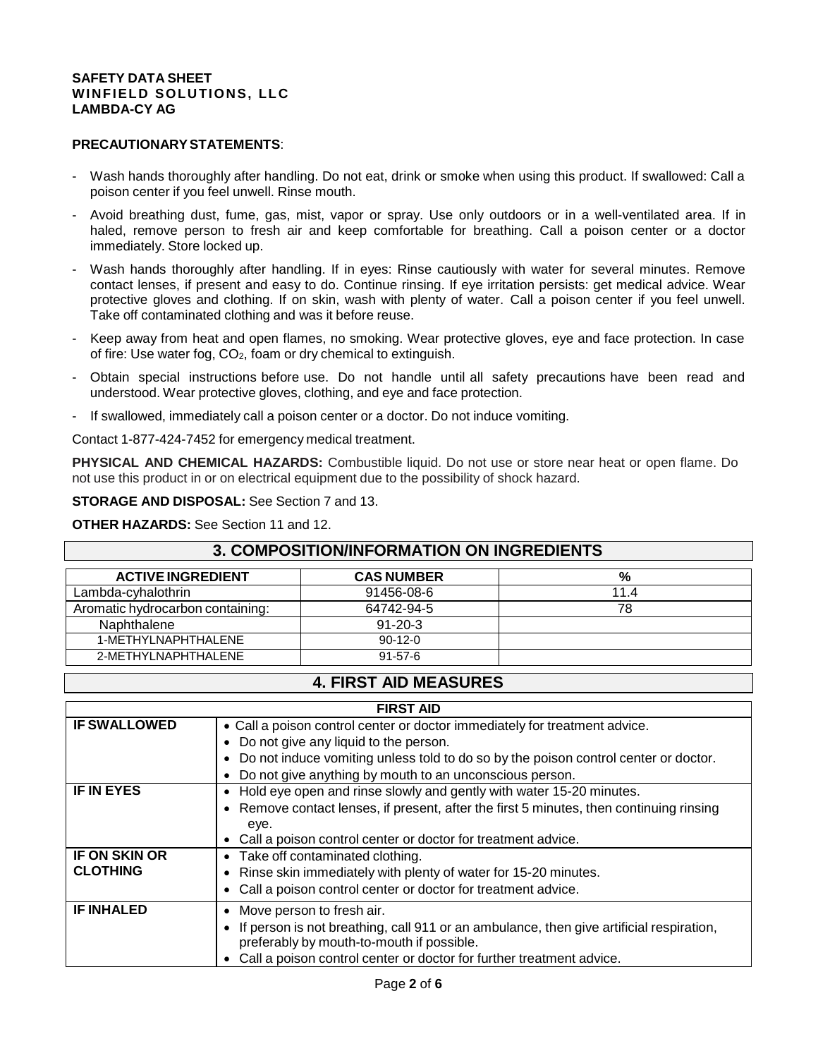#### **PRECAUTIONARYSTATEMENTS**:

- Wash hands thoroughly after handling. Do not eat, drink or smoke when using this product. If swallowed: Call a poison center if you feel unwell. Rinse mouth.
- Avoid breathing dust, fume, gas, mist, vapor or spray. Use only outdoors or in a well-ventilated area. If in haled, remove person to fresh air and keep comfortable for breathing. Call a poison center or a doctor immediately. Store locked up.
- Wash hands thoroughly after handling. If in eyes: Rinse cautiously with water for several minutes. Remove contact lenses, if present and easy to do. Continue rinsing. If eye irritation persists: get medical advice. Wear protective gloves and clothing. If on skin, wash with plenty of water. Call a poison center if you feel unwell. Take off contaminated clothing and was it before reuse.
- Keep away from heat and open flames, no smoking. Wear protective gloves, eye and face protection. In case of fire: Use water fog, CO2, foam or dry chemical to extinguish.
- Obtain special instructions before use. Do not handle until all safety precautions have been read and understood. Wear protective gloves, clothing, and eye and face protection.
- If swallowed, immediately call a poison center or a doctor. Do not induce vomiting.

Contact 1-877-424-7452 for emergency medical treatment.

**PHYSICAL AND CHEMICAL HAZARDS:** Combustible liquid. Do not use or store near heat or open flame. Do not use this product in or on electrical equipment due to the possibility of shock hazard.

**STORAGE AND DISPOSAL:** See Section 7 and 13.

**OTHER HAZARDS:** See Section 11 and 12.

# **3. COMPOSITION/INFORMATION ON INGREDIENTS**

| <b>ACTIVE INGREDIENT</b>         | <b>CAS NUMBER</b> | %    |
|----------------------------------|-------------------|------|
| Lambda-cyhalothrin               | 91456-08-6        | 11.4 |
| Aromatic hydrocarbon containing: | 64742-94-5        | 78   |
| Naphthalene                      | $91 - 20 - 3$     |      |
| 1-METHYLNAPHTHALENE              | $90-12-0$         |      |
| 2-METHYLNAPHTHALENE              | $91 - 57 - 6$     |      |

# **4. FIRST AID MEASURES**

| <b>FIRST AID</b>     |                                                                                                                                                   |  |  |
|----------------------|---------------------------------------------------------------------------------------------------------------------------------------------------|--|--|
| <b>IF SWALLOWED</b>  | • Call a poison control center or doctor immediately for treatment advice.                                                                        |  |  |
|                      | Do not give any liquid to the person.<br>$\bullet$                                                                                                |  |  |
|                      | Do not induce vomiting unless told to do so by the poison control center or doctor.<br>$\bullet$                                                  |  |  |
|                      | Do not give anything by mouth to an unconscious person.<br>$\bullet$                                                                              |  |  |
| <b>IF IN EYES</b>    | Hold eye open and rinse slowly and gently with water 15-20 minutes.<br>$\bullet$                                                                  |  |  |
|                      | Remove contact lenses, if present, after the first 5 minutes, then continuing rinsing<br>$\bullet$                                                |  |  |
|                      | eye.                                                                                                                                              |  |  |
|                      | Call a poison control center or doctor for treatment advice.<br>$\bullet$                                                                         |  |  |
| <b>IF ON SKIN OR</b> | Take off contaminated clothing.<br>$\bullet$                                                                                                      |  |  |
| <b>CLOTHING</b>      | Rinse skin immediately with plenty of water for 15-20 minutes.<br>$\bullet$                                                                       |  |  |
|                      | Call a poison control center or doctor for treatment advice.<br>$\bullet$                                                                         |  |  |
| <b>IF INHALED</b>    | Move person to fresh air.<br>$\bullet$                                                                                                            |  |  |
|                      | If person is not breathing, call 911 or an ambulance, then give artificial respiration,<br>$\bullet$<br>preferably by mouth-to-mouth if possible. |  |  |
|                      | Call a poison control center or doctor for further treatment advice.                                                                              |  |  |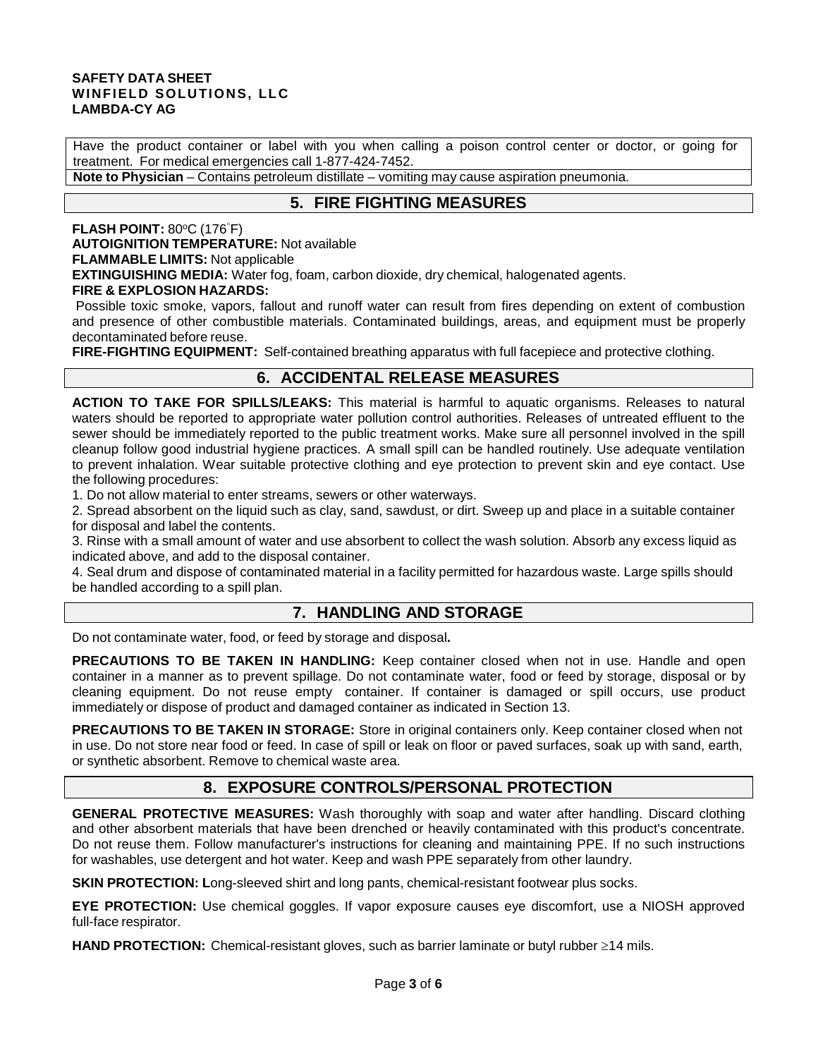Have the product container or label with you when calling a poison control center or doctor, or going for treatment. For medical emergencies call 1-877-424-7452.

**Note to Physician** – Contains petroleum distillate – vomiting may cause aspiration pneumonia.

# **5. FIRE FIGHTING MEASURES**

#### **FLASH POINT: 80°C (176°F)**

**AUTOIGNITION TEMPERATURE:** Not available

#### **FLAMMABLE LIMITS:** Not applicable

**EXTINGUISHING MEDIA:** Water fog, foam, carbon dioxide, dry chemical, halogenated agents.

#### **FIRE & EXPLOSION HAZARDS:**

Possible toxic smoke, vapors, fallout and runoff water can result from fires depending on extent of combustion and presence of other combustible materials. Contaminated buildings, areas, and equipment must be properly decontaminated before reuse.

**FIRE-FIGHTING EQUIPMENT:** Self-contained breathing apparatus with full facepiece and protective clothing.

# **6. ACCIDENTAL RELEASE MEASURES**

**ACTION TO TAKE FOR SPILLS/LEAKS:** This material is harmful to aquatic organisms. Releases to natural waters should be reported to appropriate water pollution control authorities. Releases of untreated effluent to the sewer should be immediately reported to the public treatment works. Make sure all personnel involved in the spill cleanup follow good industrial hygiene practices. A small spill can be handled routinely. Use adequate ventilation to prevent inhalation. Wear suitable protective clothing and eye protection to prevent skin and eye contact. Use the following procedures:

1. Do not allow material to enter streams, sewers or other waterways.

2. Spread absorbent on the liquid such as clay, sand, sawdust, or dirt. Sweep up and place in a suitable container for disposal and label the contents.

3. Rinse with a small amount of water and use absorbent to collect the wash solution. Absorb any excess liquid as indicated above, and add to the disposal container.

4. Seal drum and dispose of contaminated material in a facility permitted for hazardous waste. Large spills should be handled according to a spill plan.

## **7. HANDLING AND STORAGE**

Do not contaminate water, food, or feed by storage and disposal**.**

**PRECAUTIONS TO BE TAKEN IN HANDLING:** Keep container closed when not in use. Handle and open container in a manner as to prevent spillage. Do not contaminate water, food or feed by storage, disposal or by cleaning equipment. Do not reuse empty container. If container is damaged or spill occurs, use product immediately or dispose of product and damaged container as indicated in Section 13.

**PRECAUTIONS TO BE TAKEN IN STORAGE:** Store in original containers only. Keep container closed when not in use. Do not store near food or feed. In case of spill or leak on floor or paved surfaces, soak up with sand, earth, or synthetic absorbent. Remove to chemical waste area.

## **8. EXPOSURE CONTROLS/PERSONAL PROTECTION**

**GENERAL PROTECTIVE MEASURES:** Wash thoroughly with soap and water after handling. Discard clothing and other absorbent materials that have been drenched or heavily contaminated with this product's concentrate. Do not reuse them. Follow manufacturer's instructions for cleaning and maintaining PPE. If no such instructions for washables, use detergent and hot water. Keep and wash PPE separately from other laundry.

**SKIN PROTECTION: L**ong-sleeved shirt and long pants, chemical-resistant footwear plus socks.

**EYE PROTECTION:** Use chemical goggles. If vapor exposure causes eye discomfort, use a NIOSH approved full-face respirator.

**HAND PROTECTION:** Chemical-resistant gloves, such as barrier laminate or butyl rubber ≥14 mils.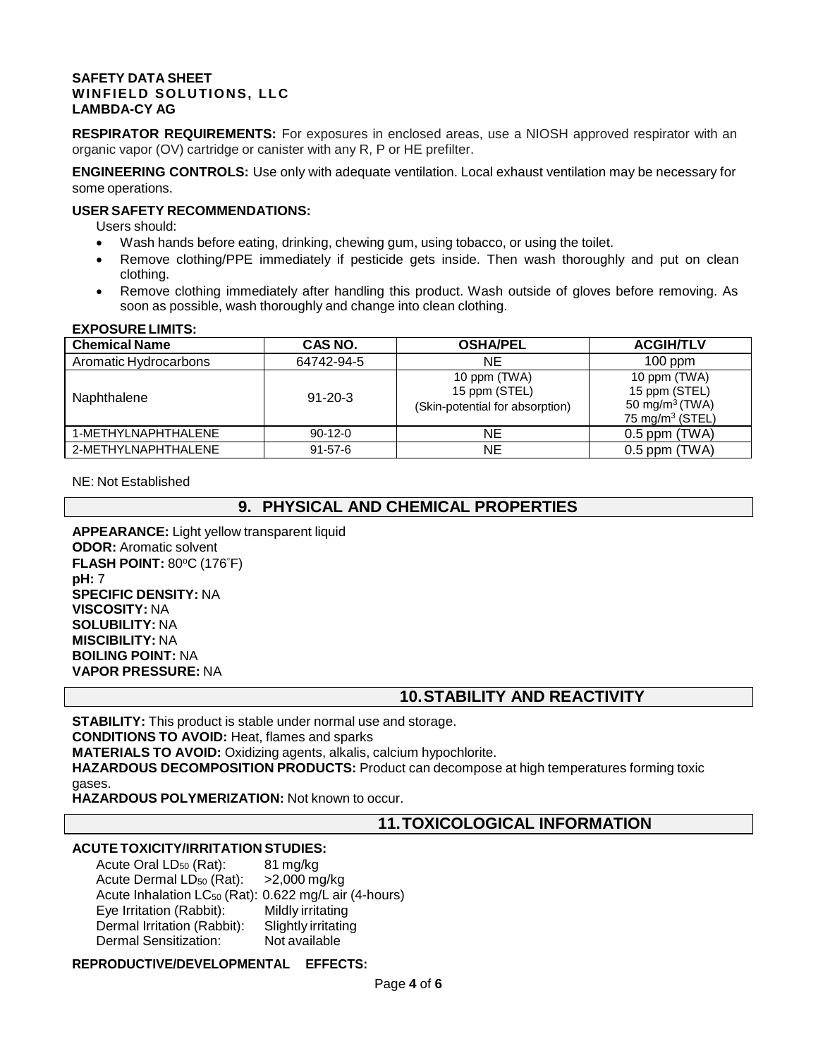**RESPIRATOR REQUIREMENTS:** For exposures in enclosed areas, use a NIOSH approved respirator with an organic vapor (OV) cartridge or canister with any R, P or HE prefilter.

**ENGINEERING CONTROLS:** Use only with adequate ventilation. Local exhaust ventilation may be necessary for some operations.

#### **USER SAFETY RECOMMENDATIONS:**

Users should:

- Wash hands before eating, drinking, chewing gum, using tobacco, or using the toilet.
- Remove clothing/PPE immediately if pesticide gets inside. Then wash thoroughly and put on clean clothing.
- Remove clothing immediately after handling this product. Wash outside of gloves before removing. As soon as possible, wash thoroughly and change into clean clothing.

#### **EXPOSURE LIMITS:**

| <b>Chemical Name</b>  | CAS NO.       | <b>OSHA/PEL</b>                                                  | <b>ACGIH/TLV</b>                                                                  |
|-----------------------|---------------|------------------------------------------------------------------|-----------------------------------------------------------------------------------|
| Aromatic Hydrocarbons | 64742-94-5    | NE.                                                              | $100$ ppm                                                                         |
| Naphthalene           | $91 - 20 - 3$ | 10 ppm (TWA)<br>15 ppm (STEL)<br>(Skin-potential for absorption) | 10 ppm (TWA)<br>15 ppm (STEL)<br>50 mg/m <sup>3</sup> (TWA)<br>75 mg/m $3$ (STEL) |
| 1-METHYLNAPHTHALENE   | $90-12-0$     | ΝE                                                               | $0.5$ ppm (TWA)                                                                   |
| 2-METHYLNAPHTHALENE   | $91 - 57 - 6$ | ΝE                                                               | $0.5$ ppm (TWA)                                                                   |

NE: Not Established

## **9. PHYSICAL AND CHEMICAL PROPERTIES**

**APPEARANCE:** Light yellow transparent liquid **ODOR:** Aromatic solvent **FLASH POINT: 80°C (176°F) pH:** 7 **SPECIFIC DENSITY:** NA **VISCOSITY:** NA **SOLUBILITY:** NA **MISCIBILITY:** NA **BOILING POINT:** NA **VAPOR PRESSURE:** NA

## **10.STABILITY AND REACTIVITY**

**STABILITY:** This product is stable under normal use and storage. **CONDITIONS TO AVOID:** Heat, flames and sparks **MATERIALS TO AVOID:** Oxidizing agents, alkalis, calcium hypochlorite. **HAZARDOUS DECOMPOSITION PRODUCTS:** Product can decompose at high temperatures forming toxic gases.

**HAZARDOUS POLYMERIZATION:** Not known to occur.

## **11.TOXICOLOGICAL INFORMATION**

#### **ACUTE TOXICITY/IRRITATION STUDIES:**

Acute Oral LD<sub>50</sub> (Rat): 81 mg/kg Acute Dermal  $LD_{50}$  (Rat):  $>2,000$  mg/kg Acute Inhalation  $LC_{50}$  (Rat): 0.622 mg/L air (4-hours)<br>Eye Irritation (Rabbit): Mildly irritating Eye Irritation (Rabbit): Dermal Irritation (Rabbit): Slightly irritating Dermal Sensitization: Not available

**REPRODUCTIVE/DEVELOPMENTAL EFFECTS:**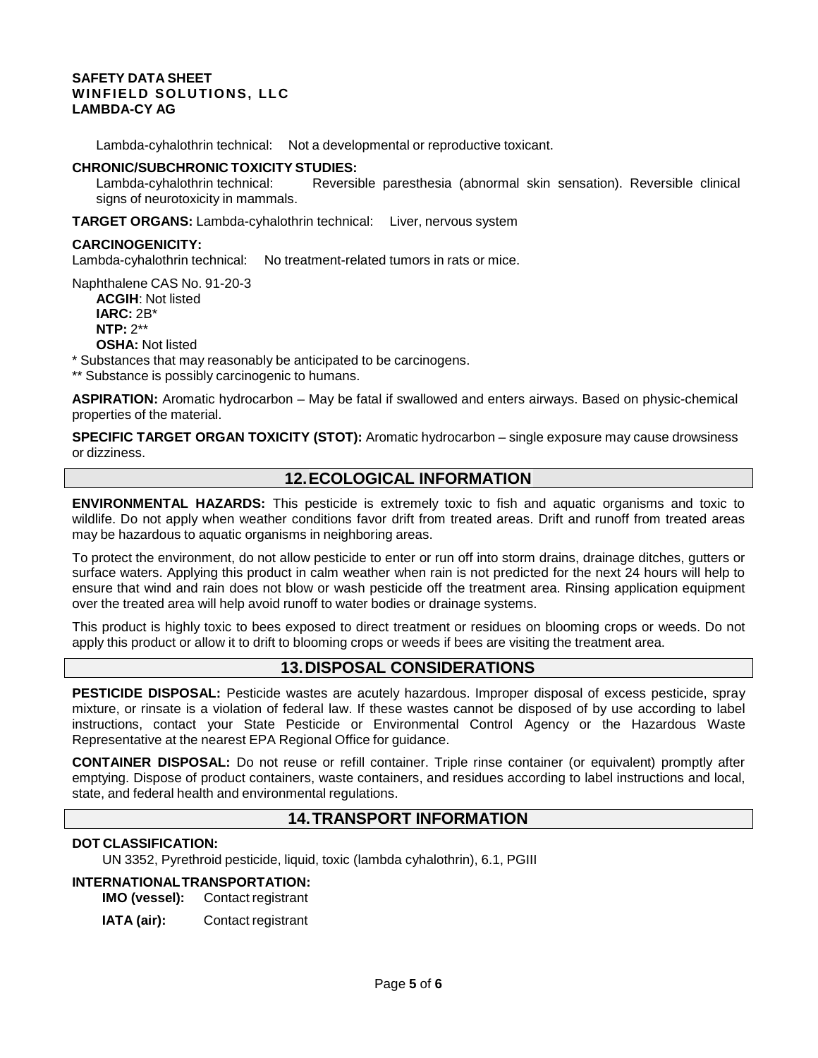Lambda-cyhalothrin technical: Not a developmental or reproductive toxicant.

#### **CHRONIC/SUBCHRONIC TOXICITY STUDIES:**

Lambda-cyhalothrin technical: Reversible paresthesia (abnormal skin sensation). Reversible clinical signs of neurotoxicity in mammals.

**TARGET ORGANS:** Lambda-cyhalothrin technical: Liver, nervous system

#### **CARCINOGENICITY:**

Lambda-cyhalothrin technical: No treatment-related tumors in rats or mice.

Naphthalene CAS No. 91-20-3 **ACGIH**: Not listed **IARC:** 2B\* **NTP:** 2\*\* **OSHA:** Not listed

\* Substances that may reasonably be anticipated to be carcinogens.

\*\* Substance is possibly carcinogenic to humans.

**ASPIRATION:** Aromatic hydrocarbon – May be fatal if swallowed and enters airways. Based on physic-chemical properties of the material.

**SPECIFIC TARGET ORGAN TOXICITY (STOT):** Aromatic hydrocarbon – single exposure may cause drowsiness or dizziness.

## **12.ECOLOGICAL INFORMATION**

**ENVIRONMENTAL HAZARDS:** This pesticide is extremely toxic to fish and aquatic organisms and toxic to wildlife. Do not apply when weather conditions favor drift from treated areas. Drift and runoff from treated areas may be hazardous to aquatic organisms in neighboring areas.

To protect the environment, do not allow pesticide to enter or run off into storm drains, drainage ditches, gutters or surface waters. Applying this product in calm weather when rain is not predicted for the next 24 hours will help to ensure that wind and rain does not blow or wash pesticide off the treatment area. Rinsing application equipment over the treated area will help avoid runoff to water bodies or drainage systems.

This product is highly toxic to bees exposed to direct treatment or residues on blooming crops or weeds. Do not apply this product or allow it to drift to blooming crops or weeds if bees are visiting the treatment area.

## **13.DISPOSAL CONSIDERATIONS**

**PESTICIDE DISPOSAL:** Pesticide wastes are acutely hazardous. Improper disposal of excess pesticide, spray mixture, or rinsate is a violation of federal law. If these wastes cannot be disposed of by use according to label instructions, contact your State Pesticide or Environmental Control Agency or the Hazardous Waste Representative at the nearest EPA Regional Office for guidance.

**CONTAINER DISPOSAL:** Do not reuse or refill container. Triple rinse container (or equivalent) promptly after emptying. Dispose of product containers, waste containers, and residues according to label instructions and local, state, and federal health and environmental regulations.

## **14.TRANSPORT INFORMATION**

#### **DOT CLASSIFICATION:**

UN 3352, Pyrethroid pesticide, liquid, toxic (lambda cyhalothrin), 6.1, PGIII

# **INTERNATIONALTRANSPORTATION:**

**Contact registrant** 

**IATA (air):** Contact registrant